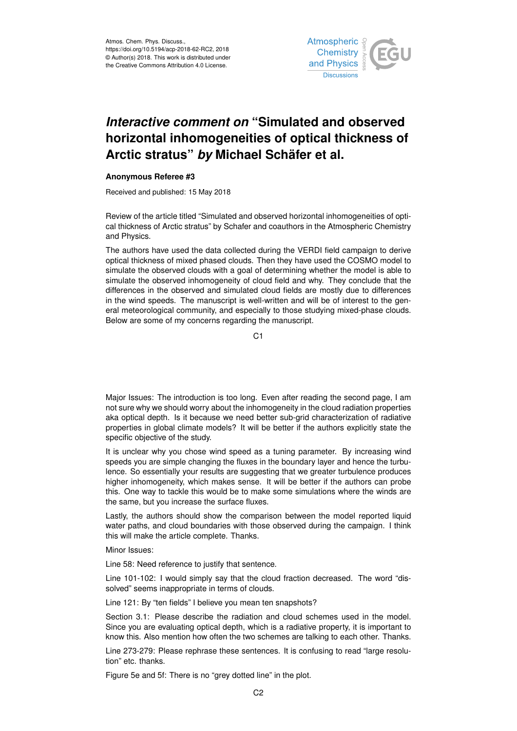

## *Interactive comment on* **"Simulated and observed horizontal inhomogeneities of optical thickness of Arctic stratus"** *by* **Michael Schäfer et al.**

## **Anonymous Referee #3**

Received and published: 15 May 2018

Review of the article titled "Simulated and observed horizontal inhomogeneities of optical thickness of Arctic stratus" by Schafer and coauthors in the Atmospheric Chemistry and Physics.

The authors have used the data collected during the VERDI field campaign to derive optical thickness of mixed phased clouds. Then they have used the COSMO model to simulate the observed clouds with a goal of determining whether the model is able to simulate the observed inhomogeneity of cloud field and why. They conclude that the differences in the observed and simulated cloud fields are mostly due to differences in the wind speeds. The manuscript is well-written and will be of interest to the general meteorological community, and especially to those studying mixed-phase clouds. Below are some of my concerns regarding the manuscript.

C1

Major Issues: The introduction is too long. Even after reading the second page, I am not sure why we should worry about the inhomogeneity in the cloud radiation properties aka optical depth. Is it because we need better sub-grid characterization of radiative properties in global climate models? It will be better if the authors explicitly state the specific objective of the study.

It is unclear why you chose wind speed as a tuning parameter. By increasing wind speeds you are simple changing the fluxes in the boundary layer and hence the turbulence. So essentially your results are suggesting that we greater turbulence produces higher inhomogeneity, which makes sense. It will be better if the authors can probe this. One way to tackle this would be to make some simulations where the winds are the same, but you increase the surface fluxes.

Lastly, the authors should show the comparison between the model reported liquid water paths, and cloud boundaries with those observed during the campaign. I think this will make the article complete. Thanks.

Minor Issues:

Line 58: Need reference to justify that sentence.

Line 101-102: I would simply say that the cloud fraction decreased. The word "dissolved" seems inappropriate in terms of clouds.

Line 121: By "ten fields" I believe you mean ten snapshots?

Section 3.1: Please describe the radiation and cloud schemes used in the model. Since you are evaluating optical depth, which is a radiative property, it is important to know this. Also mention how often the two schemes are talking to each other. Thanks.

Line 273-279: Please rephrase these sentences. It is confusing to read "large resolution" etc. thanks.

Figure 5e and 5f: There is no "grey dotted line" in the plot.